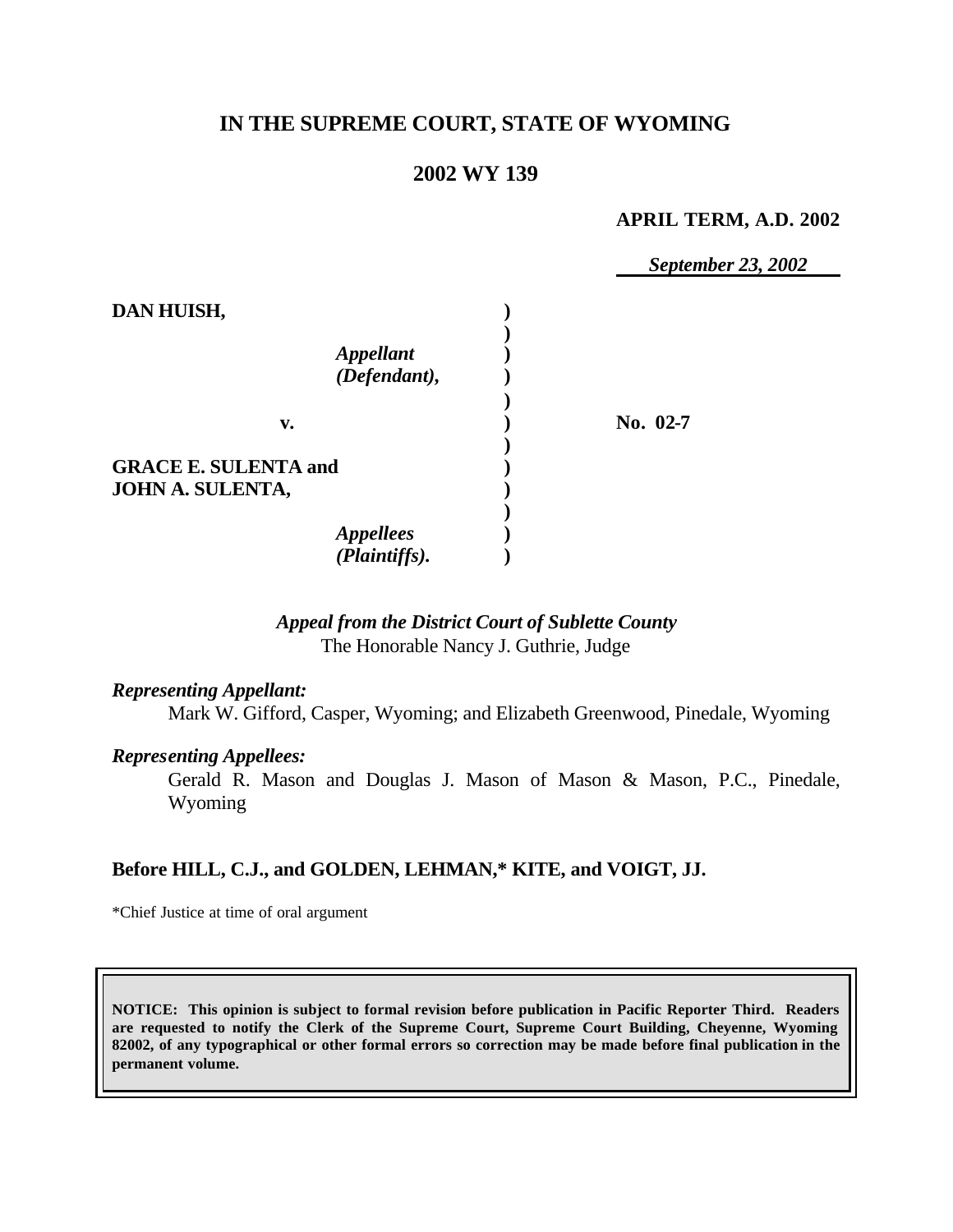# **IN THE SUPREME COURT, STATE OF WYOMING**

# **2002 WY 139**

#### **APRIL TERM, A.D. 2002**

*September 23, 2002*

| DAN HUISH,                              |            |
|-----------------------------------------|------------|
| <i><b>Appellant</b></i><br>(Defendant), |            |
| v.                                      | No. $02-7$ |
| <b>GRACE E. SULENTA and</b>             |            |
| JOHN A. SULENTA,                        |            |
| <b>Appellees</b><br>(Plaintiffs).       |            |

## *Appeal from the District Court of Sublette County* The Honorable Nancy J. Guthrie, Judge

#### *Representing Appellant:*

Mark W. Gifford, Casper, Wyoming; and Elizabeth Greenwood, Pinedale, Wyoming

#### *Representing Appellees:*

Gerald R. Mason and Douglas J. Mason of Mason & Mason, P.C., Pinedale, Wyoming

### **Before HILL, C.J., and GOLDEN, LEHMAN,\* KITE, and VOIGT, JJ.**

\*Chief Justice at time of oral argument

**NOTICE: This opinion is subject to formal revision before publication in Pacific Reporter Third. Readers are requested to notify the Clerk of the Supreme Court, Supreme Court Building, Cheyenne, Wyoming 82002, of any typographical or other formal errors so correction may be made before final publication in the permanent volume.**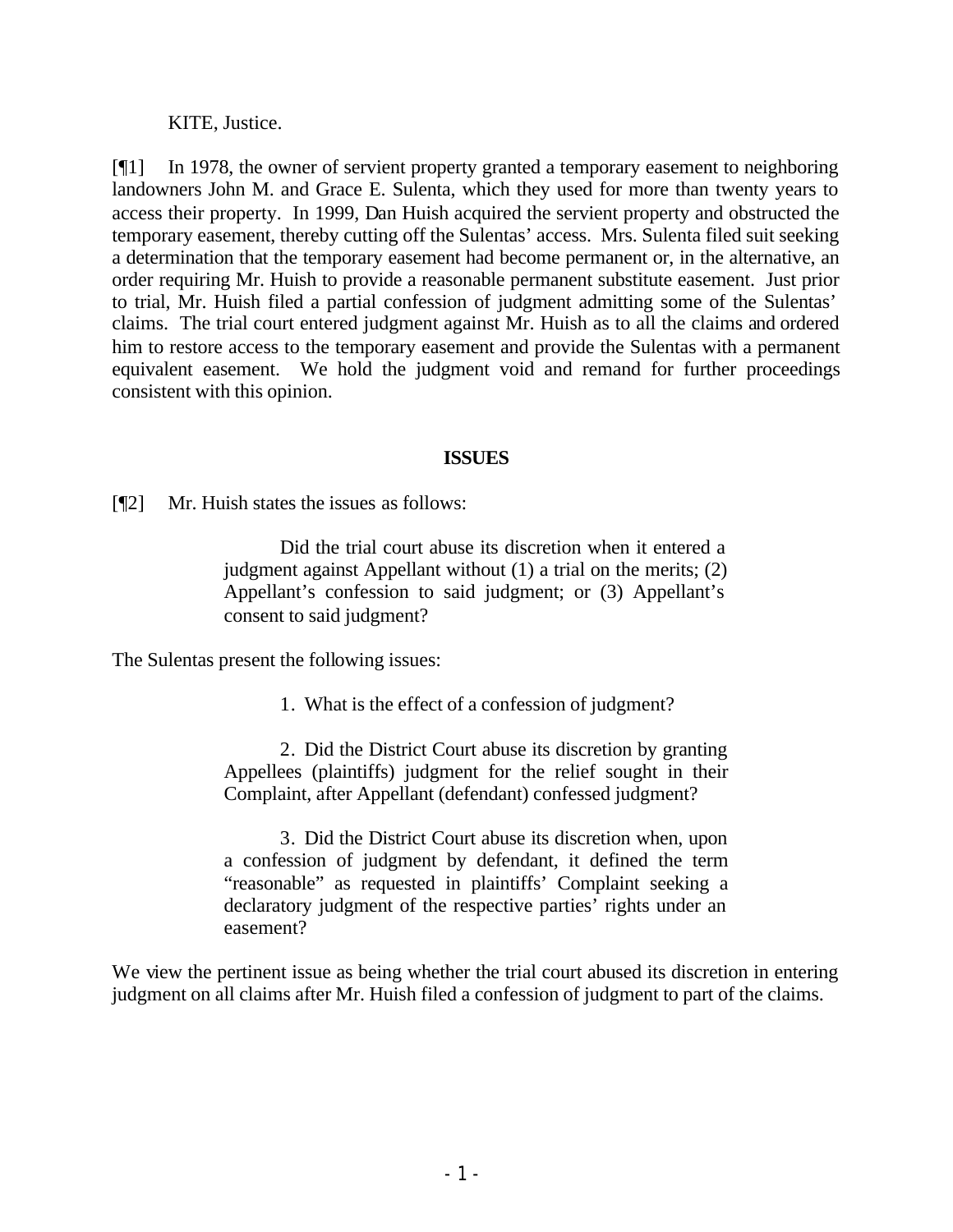KITE, Justice.

[¶1] In 1978, the owner of servient property granted a temporary easement to neighboring landowners John M. and Grace E. Sulenta, which they used for more than twenty years to access their property. In 1999, Dan Huish acquired the servient property and obstructed the temporary easement, thereby cutting off the Sulentas' access. Mrs. Sulenta filed suit seeking a determination that the temporary easement had become permanent or, in the alternative, an order requiring Mr. Huish to provide a reasonable permanent substitute easement. Just prior to trial, Mr. Huish filed a partial confession of judgment admitting some of the Sulentas' claims. The trial court entered judgment against Mr. Huish as to all the claims and ordered him to restore access to the temporary easement and provide the Sulentas with a permanent equivalent easement. We hold the judgment void and remand for further proceedings consistent with this opinion.

## **ISSUES**

[¶2] Mr. Huish states the issues as follows:

Did the trial court abuse its discretion when it entered a judgment against Appellant without (1) a trial on the merits; (2) Appellant's confession to said judgment; or (3) Appellant's consent to said judgment?

The Sulentas present the following issues:

1. What is the effect of a confession of judgment?

2. Did the District Court abuse its discretion by granting Appellees (plaintiffs) judgment for the relief sought in their Complaint, after Appellant (defendant) confessed judgment?

3. Did the District Court abuse its discretion when, upon a confession of judgment by defendant, it defined the term "reasonable" as requested in plaintiffs' Complaint seeking a declaratory judgment of the respective parties' rights under an easement?

We view the pertinent issue as being whether the trial court abused its discretion in entering judgment on all claims after Mr. Huish filed a confession of judgment to part of the claims.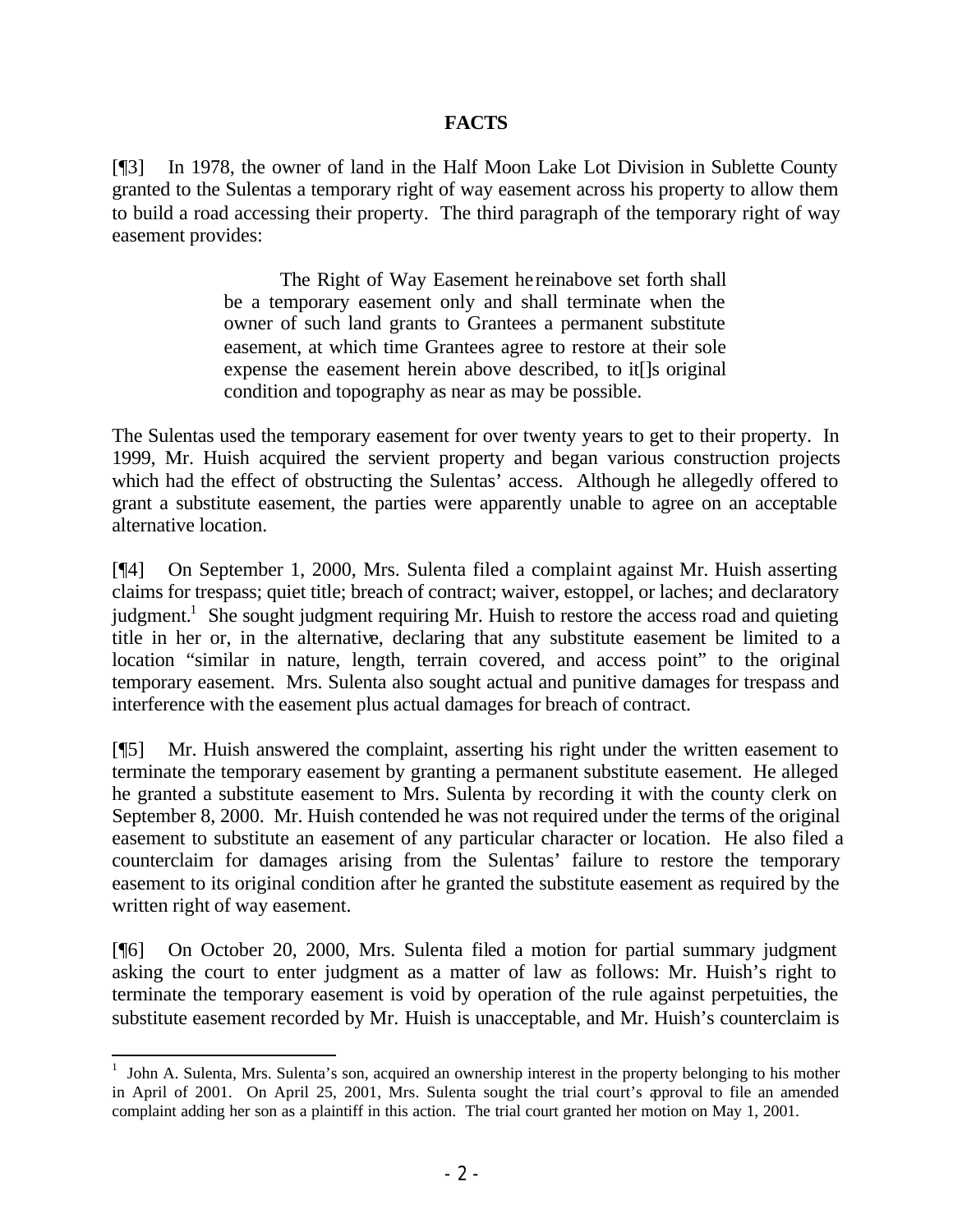### **FACTS**

[¶3] In 1978, the owner of land in the Half Moon Lake Lot Division in Sublette County granted to the Sulentas a temporary right of way easement across his property to allow them to build a road accessing their property. The third paragraph of the temporary right of way easement provides:

> The Right of Way Easement hereinabove set forth shall be a temporary easement only and shall terminate when the owner of such land grants to Grantees a permanent substitute easement, at which time Grantees agree to restore at their sole expense the easement herein above described, to it[]s original condition and topography as near as may be possible.

The Sulentas used the temporary easement for over twenty years to get to their property. In 1999, Mr. Huish acquired the servient property and began various construction projects which had the effect of obstructing the Sulentas' access. Although he allegedly offered to grant a substitute easement, the parties were apparently unable to agree on an acceptable alternative location.

[¶4] On September 1, 2000, Mrs. Sulenta filed a complaint against Mr. Huish asserting claims for trespass; quiet title; breach of contract; waiver, estoppel, or laches; and declaratory judgment.<sup>1</sup> She sought judgment requiring Mr. Huish to restore the access road and quieting title in her or, in the alternative, declaring that any substitute easement be limited to a location "similar in nature, length, terrain covered, and access point" to the original temporary easement. Mrs. Sulenta also sought actual and punitive damages for trespass and interference with the easement plus actual damages for breach of contract.

[¶5] Mr. Huish answered the complaint, asserting his right under the written easement to terminate the temporary easement by granting a permanent substitute easement. He alleged he granted a substitute easement to Mrs. Sulenta by recording it with the county clerk on September 8, 2000. Mr. Huish contended he was not required under the terms of the original easement to substitute an easement of any particular character or location. He also filed a counterclaim for damages arising from the Sulentas' failure to restore the temporary easement to its original condition after he granted the substitute easement as required by the written right of way easement.

[¶6] On October 20, 2000, Mrs. Sulenta filed a motion for partial summary judgment asking the court to enter judgment as a matter of law as follows: Mr. Huish's right to terminate the temporary easement is void by operation of the rule against perpetuities, the substitute easement recorded by Mr. Huish is unacceptable, and Mr. Huish's counterclaim is

<sup>&</sup>lt;sup>1</sup> John A. Sulenta, Mrs. Sulenta's son, acquired an ownership interest in the property belonging to his mother in April of 2001. On April 25, 2001, Mrs. Sulenta sought the trial court's approval to file an amended complaint adding her son as a plaintiff in this action. The trial court granted her motion on May 1, 2001.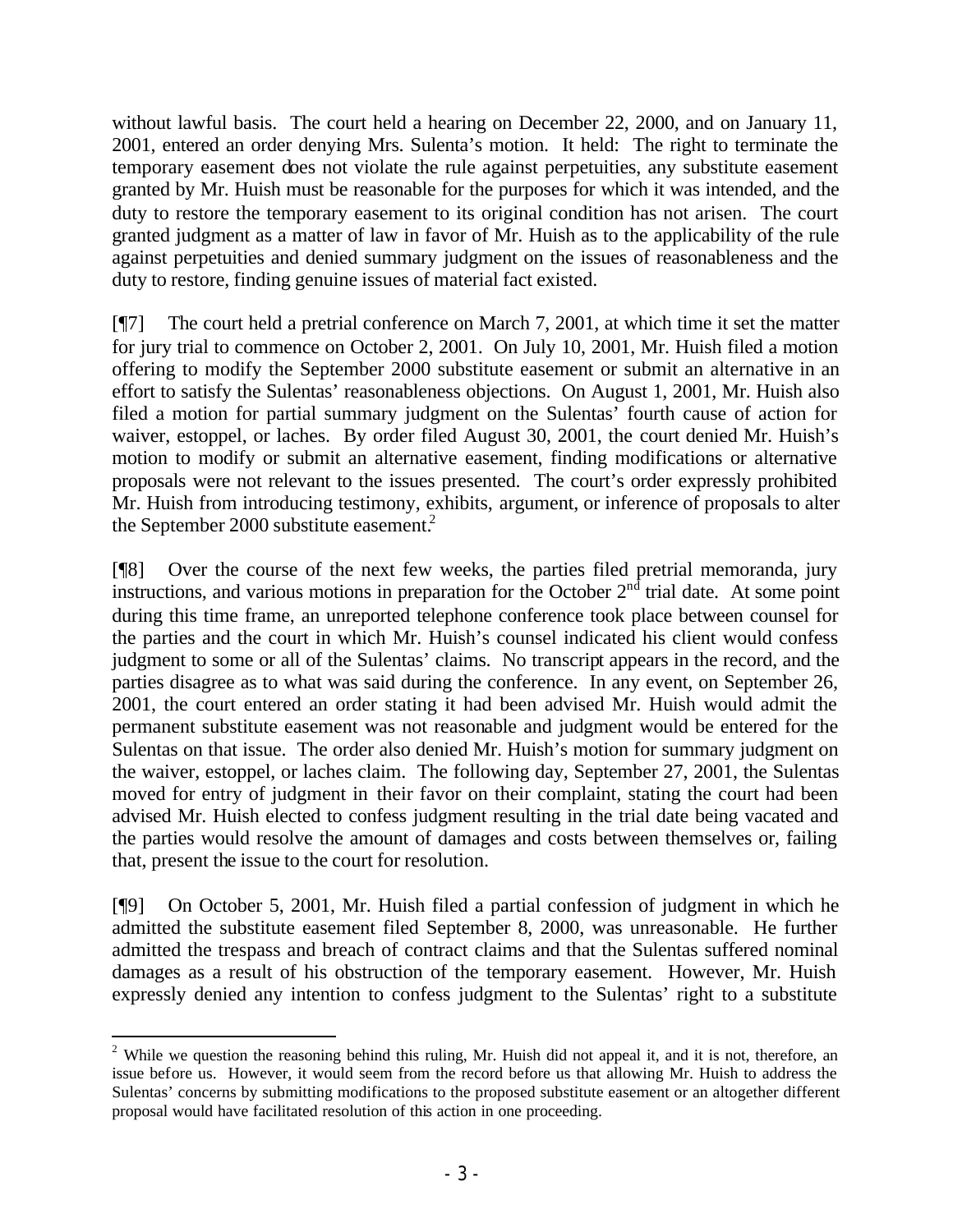without lawful basis. The court held a hearing on December 22, 2000, and on January 11, 2001, entered an order denying Mrs. Sulenta's motion. It held: The right to terminate the temporary easement does not violate the rule against perpetuities, any substitute easement granted by Mr. Huish must be reasonable for the purposes for which it was intended, and the duty to restore the temporary easement to its original condition has not arisen. The court granted judgment as a matter of law in favor of Mr. Huish as to the applicability of the rule against perpetuities and denied summary judgment on the issues of reasonableness and the duty to restore, finding genuine issues of material fact existed.

[¶7] The court held a pretrial conference on March 7, 2001, at which time it set the matter for jury trial to commence on October 2, 2001. On July 10, 2001, Mr. Huish filed a motion offering to modify the September 2000 substitute easement or submit an alternative in an effort to satisfy the Sulentas' reasonableness objections. On August 1, 2001, Mr. Huish also filed a motion for partial summary judgment on the Sulentas' fourth cause of action for waiver, estoppel, or laches. By order filed August 30, 2001, the court denied Mr. Huish's motion to modify or submit an alternative easement, finding modifications or alternative proposals were not relevant to the issues presented. The court's order expressly prohibited Mr. Huish from introducing testimony, exhibits, argument, or inference of proposals to alter the September 2000 substitute easement.<sup>2</sup>

[¶8] Over the course of the next few weeks, the parties filed pretrial memoranda, jury instructions, and various motions in preparation for the October  $2<sup>nd</sup>$  trial date. At some point during this time frame, an unreported telephone conference took place between counsel for the parties and the court in which Mr. Huish's counsel indicated his client would confess judgment to some or all of the Sulentas' claims. No transcript appears in the record, and the parties disagree as to what was said during the conference. In any event, on September 26, 2001, the court entered an order stating it had been advised Mr. Huish would admit the permanent substitute easement was not reasonable and judgment would be entered for the Sulentas on that issue. The order also denied Mr. Huish's motion for summary judgment on the waiver, estoppel, or laches claim. The following day, September 27, 2001, the Sulentas moved for entry of judgment in their favor on their complaint, stating the court had been advised Mr. Huish elected to confess judgment resulting in the trial date being vacated and the parties would resolve the amount of damages and costs between themselves or, failing that, present the issue to the court for resolution.

[¶9] On October 5, 2001, Mr. Huish filed a partial confession of judgment in which he admitted the substitute easement filed September 8, 2000, was unreasonable. He further admitted the trespass and breach of contract claims and that the Sulentas suffered nominal damages as a result of his obstruction of the temporary easement. However, Mr. Huish expressly denied any intention to confess judgment to the Sulentas' right to a substitute

<sup>&</sup>lt;sup>2</sup> While we question the reasoning behind this ruling, Mr. Huish did not appeal it, and it is not, therefore, an issue before us. However, it would seem from the record before us that allowing Mr. Huish to address the Sulentas' concerns by submitting modifications to the proposed substitute easement or an altogether different proposal would have facilitated resolution of this action in one proceeding.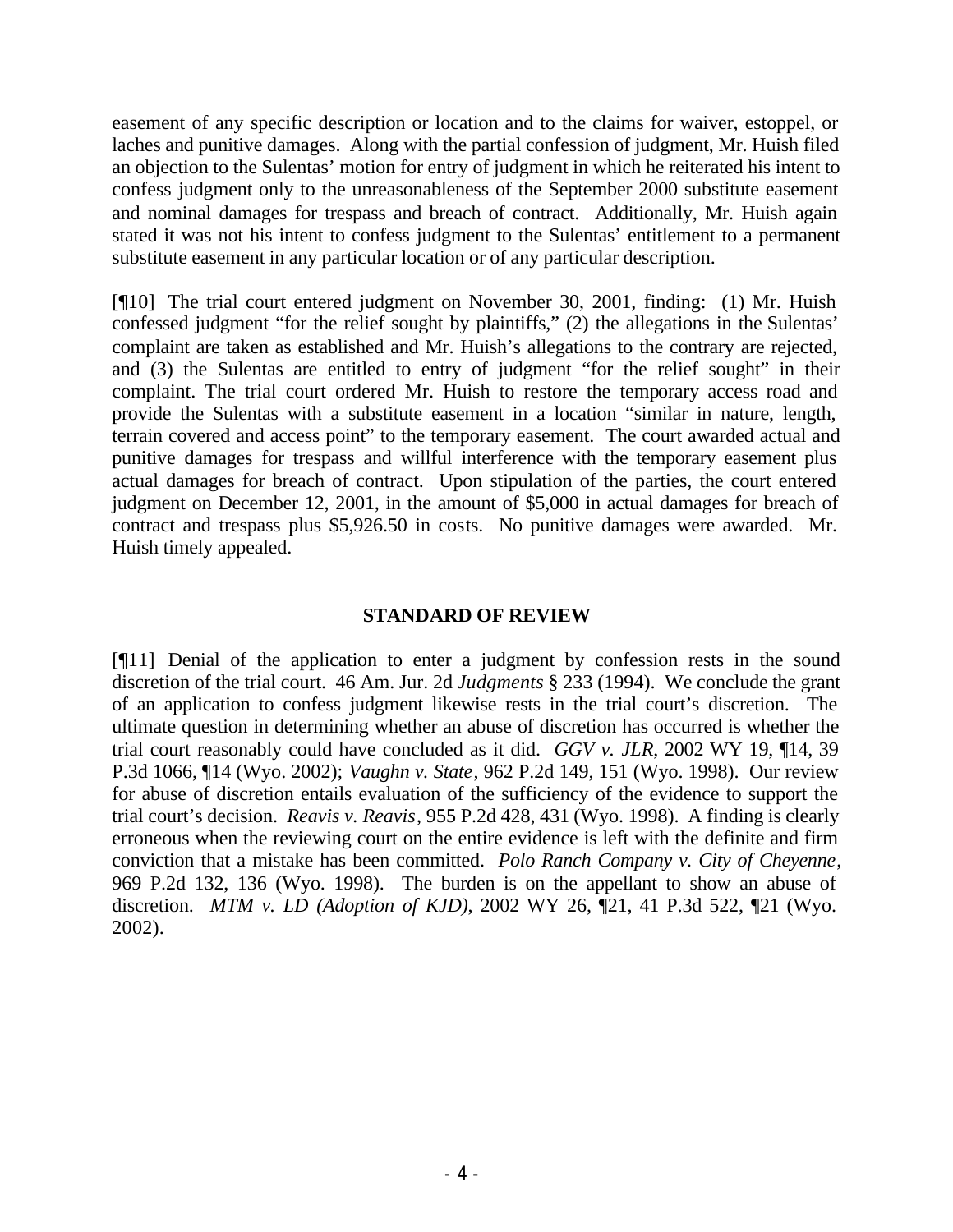easement of any specific description or location and to the claims for waiver, estoppel, or laches and punitive damages. Along with the partial confession of judgment, Mr. Huish filed an objection to the Sulentas' motion for entry of judgment in which he reiterated his intent to confess judgment only to the unreasonableness of the September 2000 substitute easement and nominal damages for trespass and breach of contract. Additionally, Mr. Huish again stated it was not his intent to confess judgment to the Sulentas' entitlement to a permanent substitute easement in any particular location or of any particular description.

[¶10] The trial court entered judgment on November 30, 2001, finding: (1) Mr. Huish confessed judgment "for the relief sought by plaintiffs," (2) the allegations in the Sulentas' complaint are taken as established and Mr. Huish's allegations to the contrary are rejected, and (3) the Sulentas are entitled to entry of judgment "for the relief sought" in their complaint. The trial court ordered Mr. Huish to restore the temporary access road and provide the Sulentas with a substitute easement in a location "similar in nature, length, terrain covered and access point" to the temporary easement. The court awarded actual and punitive damages for trespass and willful interference with the temporary easement plus actual damages for breach of contract. Upon stipulation of the parties, the court entered judgment on December 12, 2001, in the amount of \$5,000 in actual damages for breach of contract and trespass plus \$5,926.50 in costs. No punitive damages were awarded. Mr. Huish timely appealed.

## **STANDARD OF REVIEW**

[¶11] Denial of the application to enter a judgment by confession rests in the sound discretion of the trial court. 46 Am. Jur. 2d *Judgments* § 233 (1994). We conclude the grant of an application to confess judgment likewise rests in the trial court's discretion. The ultimate question in determining whether an abuse of discretion has occurred is whether the trial court reasonably could have concluded as it did. *GGV v. JLR*, 2002 WY 19, ¶14, 39 P.3d 1066, ¶14 (Wyo. 2002); *Vaughn v. State*, 962 P.2d 149, 151 (Wyo. 1998). Our review for abuse of discretion entails evaluation of the sufficiency of the evidence to support the trial court's decision. *Reavis v. Reavis*, 955 P.2d 428, 431 (Wyo. 1998). A finding is clearly erroneous when the reviewing court on the entire evidence is left with the definite and firm conviction that a mistake has been committed. *Polo Ranch Company v. City of Cheyenne*, 969 P.2d 132, 136 (Wyo. 1998). The burden is on the appellant to show an abuse of discretion. *MTM v. LD (Adoption of KJD)*, 2002 WY 26, ¶21, 41 P.3d 522, ¶21 (Wyo. 2002).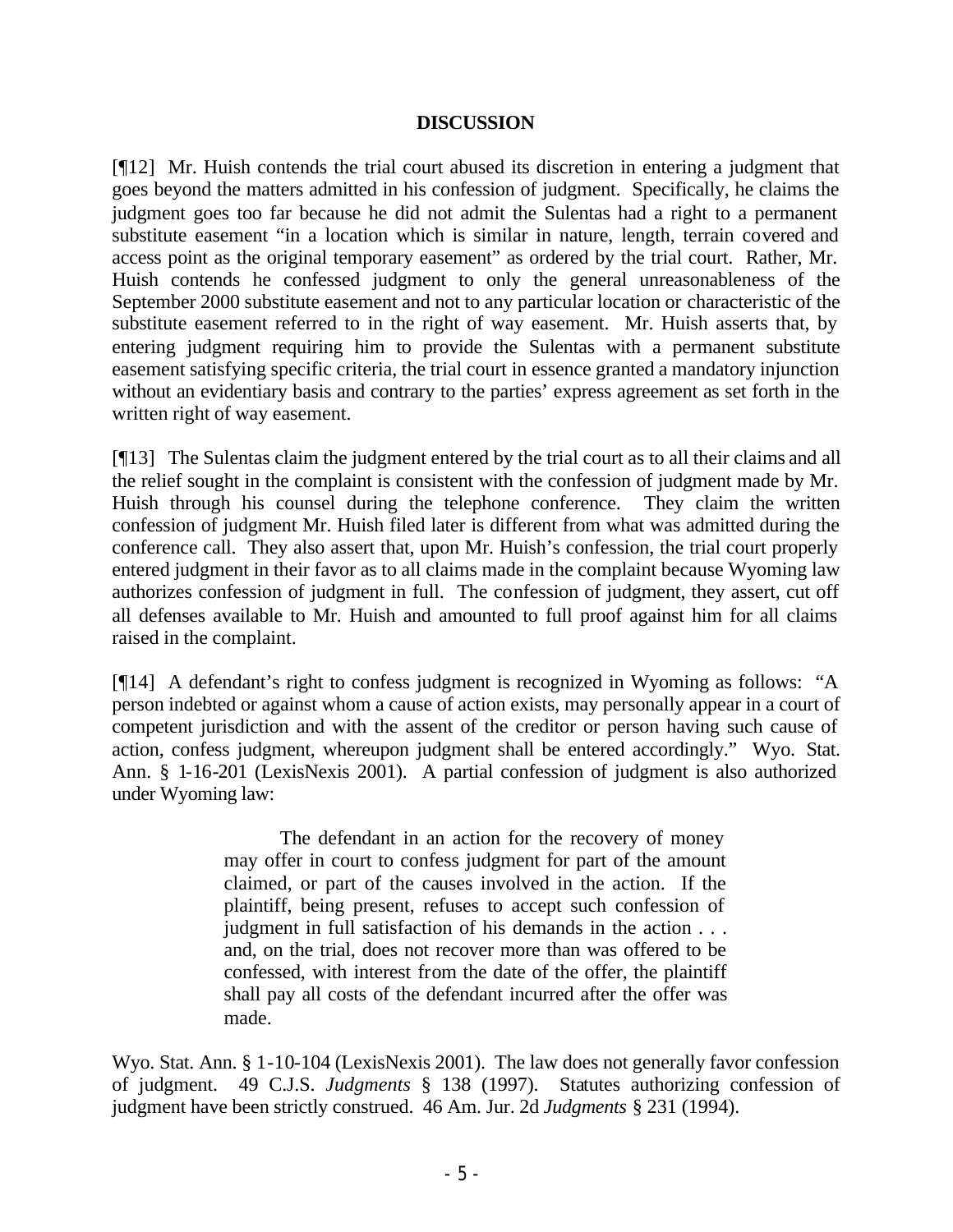#### **DISCUSSION**

[¶12] Mr. Huish contends the trial court abused its discretion in entering a judgment that goes beyond the matters admitted in his confession of judgment. Specifically, he claims the judgment goes too far because he did not admit the Sulentas had a right to a permanent substitute easement "in a location which is similar in nature, length, terrain covered and access point as the original temporary easement" as ordered by the trial court. Rather, Mr. Huish contends he confessed judgment to only the general unreasonableness of the September 2000 substitute easement and not to any particular location or characteristic of the substitute easement referred to in the right of way easement. Mr. Huish asserts that, by entering judgment requiring him to provide the Sulentas with a permanent substitute easement satisfying specific criteria, the trial court in essence granted a mandatory injunction without an evidentiary basis and contrary to the parties' express agreement as set forth in the written right of way easement.

[¶13] The Sulentas claim the judgment entered by the trial court as to all their claims and all the relief sought in the complaint is consistent with the confession of judgment made by Mr. Huish through his counsel during the telephone conference. They claim the written confession of judgment Mr. Huish filed later is different from what was admitted during the conference call. They also assert that, upon Mr. Huish's confession, the trial court properly entered judgment in their favor as to all claims made in the complaint because Wyoming law authorizes confession of judgment in full. The confession of judgment, they assert, cut off all defenses available to Mr. Huish and amounted to full proof against him for all claims raised in the complaint.

[¶14] A defendant's right to confess judgment is recognized in Wyoming as follows: "A person indebted or against whom a cause of action exists, may personally appear in a court of competent jurisdiction and with the assent of the creditor or person having such cause of action, confess judgment, whereupon judgment shall be entered accordingly." Wyo. Stat. Ann. § 1-16-201 (LexisNexis 2001). A partial confession of judgment is also authorized under Wyoming law:

> The defendant in an action for the recovery of money may offer in court to confess judgment for part of the amount claimed, or part of the causes involved in the action. If the plaintiff, being present, refuses to accept such confession of judgment in full satisfaction of his demands in the action . . . and, on the trial, does not recover more than was offered to be confessed, with interest from the date of the offer, the plaintiff shall pay all costs of the defendant incurred after the offer was made.

Wyo. Stat. Ann. § 1-10-104 (LexisNexis 2001). The law does not generally favor confession of judgment. 49 C.J.S. *Judgments* § 138 (1997). Statutes authorizing confession of judgment have been strictly construed. 46 Am. Jur. 2d *Judgments* § 231 (1994).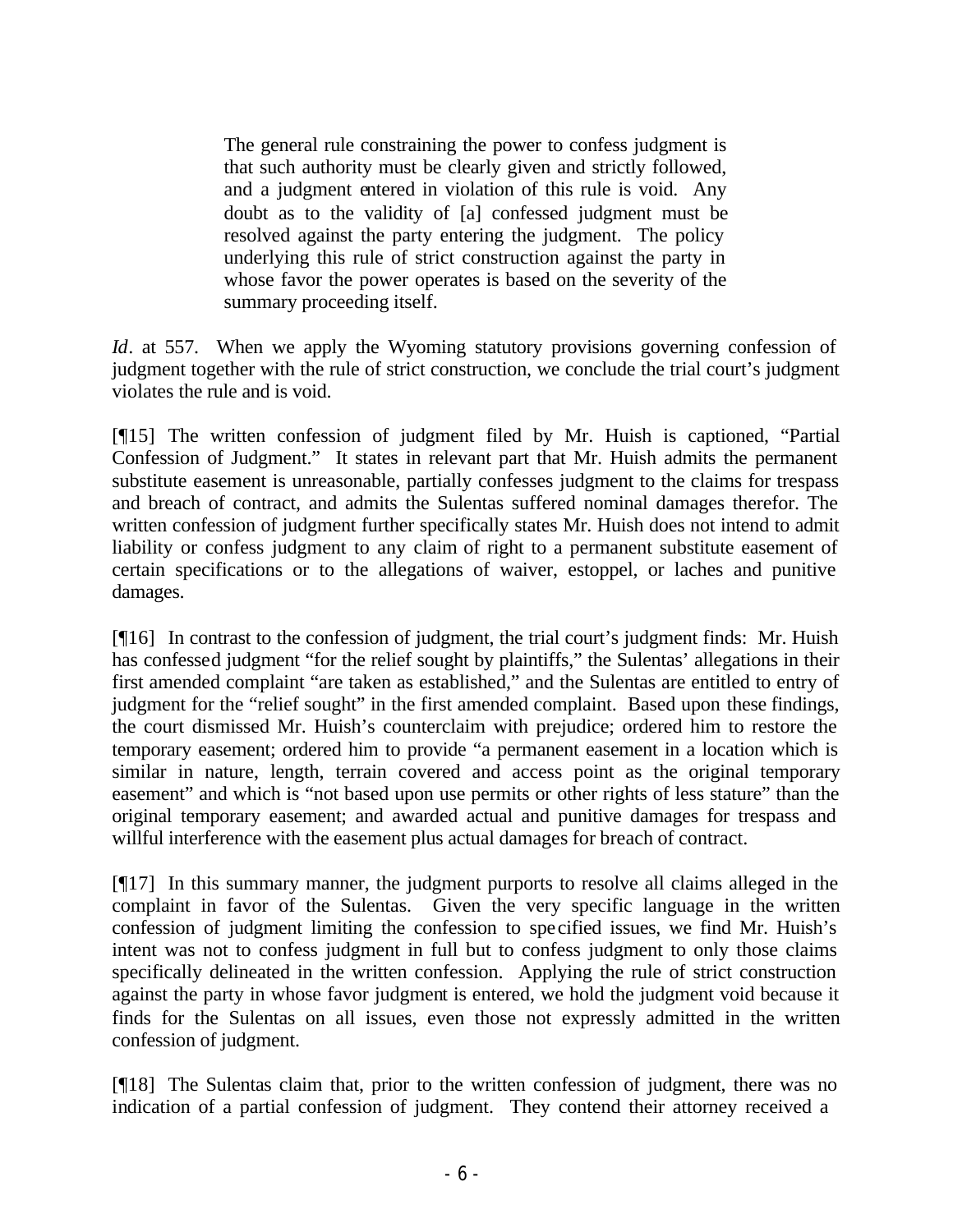The general rule constraining the power to confess judgment is that such authority must be clearly given and strictly followed, and a judgment entered in violation of this rule is void. Any doubt as to the validity of [a] confessed judgment must be resolved against the party entering the judgment. The policy underlying this rule of strict construction against the party in whose favor the power operates is based on the severity of the summary proceeding itself.

*Id*. at 557. When we apply the Wyoming statutory provisions governing confession of judgment together with the rule of strict construction, we conclude the trial court's judgment violates the rule and is void.

[¶15] The written confession of judgment filed by Mr. Huish is captioned, "Partial Confession of Judgment." It states in relevant part that Mr. Huish admits the permanent substitute easement is unreasonable, partially confesses judgment to the claims for trespass and breach of contract, and admits the Sulentas suffered nominal damages therefor. The written confession of judgment further specifically states Mr. Huish does not intend to admit liability or confess judgment to any claim of right to a permanent substitute easement of certain specifications or to the allegations of waiver, estoppel, or laches and punitive damages.

[¶16] In contrast to the confession of judgment, the trial court's judgment finds: Mr. Huish has confessed judgment "for the relief sought by plaintiffs," the Sulentas' allegations in their first amended complaint "are taken as established," and the Sulentas are entitled to entry of judgment for the "relief sought" in the first amended complaint. Based upon these findings, the court dismissed Mr. Huish's counterclaim with prejudice; ordered him to restore the temporary easement; ordered him to provide "a permanent easement in a location which is similar in nature, length, terrain covered and access point as the original temporary easement" and which is "not based upon use permits or other rights of less stature" than the original temporary easement; and awarded actual and punitive damages for trespass and willful interference with the easement plus actual damages for breach of contract.

[¶17] In this summary manner, the judgment purports to resolve all claims alleged in the complaint in favor of the Sulentas. Given the very specific language in the written confession of judgment limiting the confession to specified issues, we find Mr. Huish's intent was not to confess judgment in full but to confess judgment to only those claims specifically delineated in the written confession. Applying the rule of strict construction against the party in whose favor judgment is entered, we hold the judgment void because it finds for the Sulentas on all issues, even those not expressly admitted in the written confession of judgment.

[¶18] The Sulentas claim that, prior to the written confession of judgment, there was no indication of a partial confession of judgment. They contend their attorney received a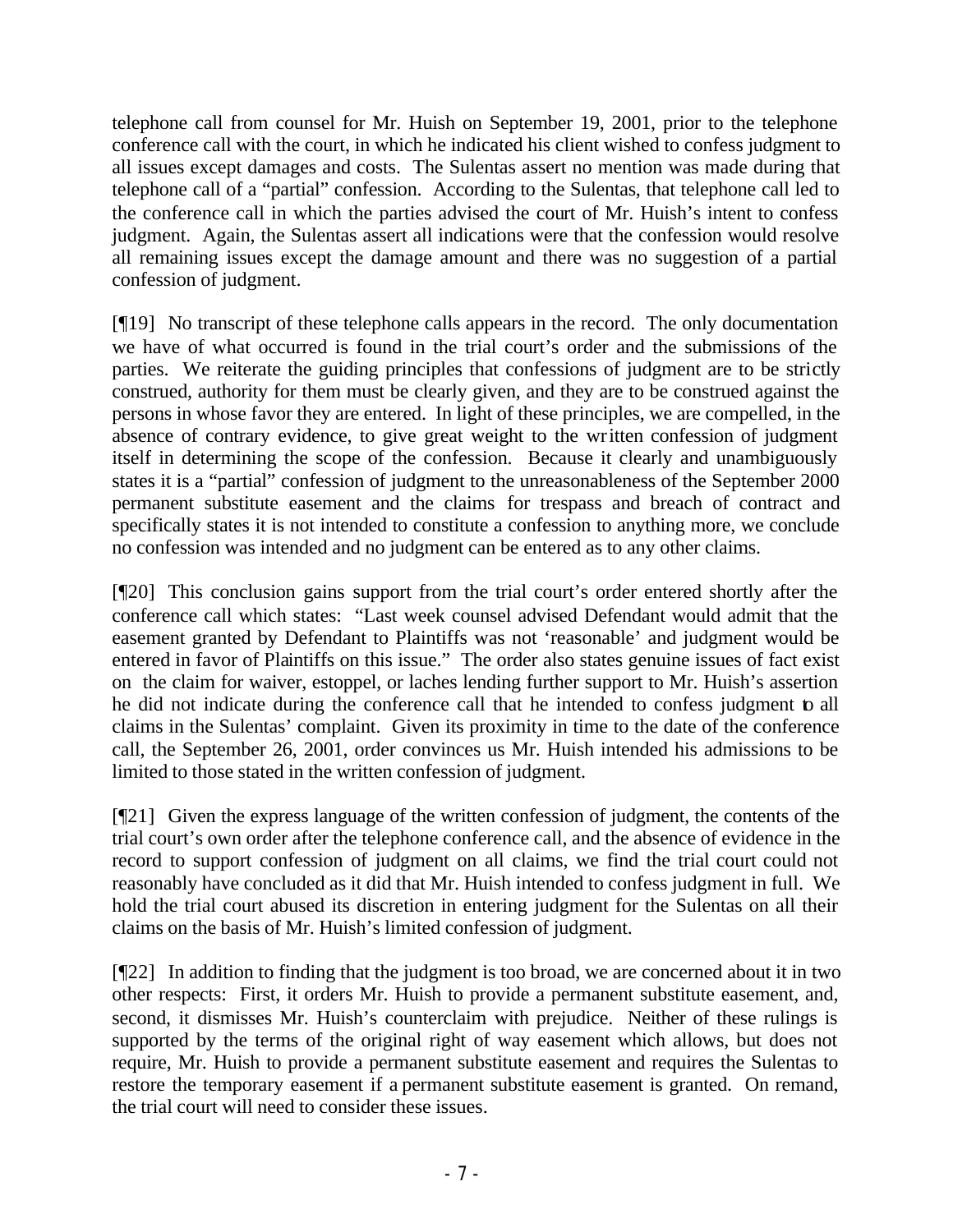telephone call from counsel for Mr. Huish on September 19, 2001, prior to the telephone conference call with the court, in which he indicated his client wished to confess judgment to all issues except damages and costs. The Sulentas assert no mention was made during that telephone call of a "partial" confession. According to the Sulentas, that telephone call led to the conference call in which the parties advised the court of Mr. Huish's intent to confess judgment. Again, the Sulentas assert all indications were that the confession would resolve all remaining issues except the damage amount and there was no suggestion of a partial confession of judgment.

[¶19] No transcript of these telephone calls appears in the record. The only documentation we have of what occurred is found in the trial court's order and the submissions of the parties. We reiterate the guiding principles that confessions of judgment are to be strictly construed, authority for them must be clearly given, and they are to be construed against the persons in whose favor they are entered. In light of these principles, we are compelled, in the absence of contrary evidence, to give great weight to the written confession of judgment itself in determining the scope of the confession. Because it clearly and unambiguously states it is a "partial" confession of judgment to the unreasonableness of the September 2000 permanent substitute easement and the claims for trespass and breach of contract and specifically states it is not intended to constitute a confession to anything more, we conclude no confession was intended and no judgment can be entered as to any other claims.

[¶20] This conclusion gains support from the trial court's order entered shortly after the conference call which states: "Last week counsel advised Defendant would admit that the easement granted by Defendant to Plaintiffs was not 'reasonable' and judgment would be entered in favor of Plaintiffs on this issue." The order also states genuine issues of fact exist on the claim for waiver, estoppel, or laches lending further support to Mr. Huish's assertion he did not indicate during the conference call that he intended to confess judgment to all claims in the Sulentas' complaint. Given its proximity in time to the date of the conference call, the September 26, 2001, order convinces us Mr. Huish intended his admissions to be limited to those stated in the written confession of judgment.

[¶21] Given the express language of the written confession of judgment, the contents of the trial court's own order after the telephone conference call, and the absence of evidence in the record to support confession of judgment on all claims, we find the trial court could not reasonably have concluded as it did that Mr. Huish intended to confess judgment in full. We hold the trial court abused its discretion in entering judgment for the Sulentas on all their claims on the basis of Mr. Huish's limited confession of judgment.

[¶22] In addition to finding that the judgment is too broad, we are concerned about it in two other respects: First, it orders Mr. Huish to provide a permanent substitute easement, and, second, it dismisses Mr. Huish's counterclaim with prejudice. Neither of these rulings is supported by the terms of the original right of way easement which allows, but does not require, Mr. Huish to provide a permanent substitute easement and requires the Sulentas to restore the temporary easement if a permanent substitute easement is granted. On remand, the trial court will need to consider these issues.